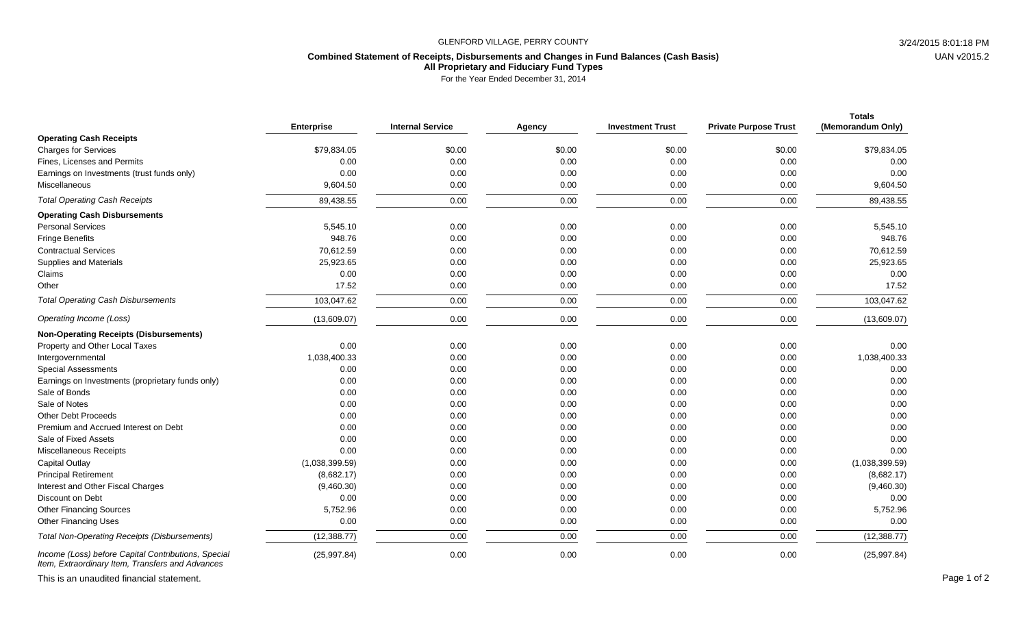## GLENFORD VILLAGE, PERRY COUNTY 3/24/2015 8:01:18 PM

## **Combined Statement of Receipts, Disbursements and Changes in Fund Balances (Cash Basis) All Proprietary and Fiduciary Fund Types**

For the Year Ended December 31, 2014

|                                                                                                         | <b>Enterprise</b> | <b>Internal Service</b> | Agency | <b>Investment Trust</b> | <b>Private Purpose Trust</b> | <b>Totals</b><br>(Memorandum Only) |
|---------------------------------------------------------------------------------------------------------|-------------------|-------------------------|--------|-------------------------|------------------------------|------------------------------------|
| <b>Operating Cash Receipts</b>                                                                          |                   |                         |        |                         |                              |                                    |
| <b>Charges for Services</b>                                                                             | \$79,834.05       | \$0.00                  | \$0.00 | \$0.00                  | \$0.00                       | \$79,834.05                        |
| Fines, Licenses and Permits                                                                             | 0.00              | 0.00                    | 0.00   | 0.00                    | 0.00                         | 0.00                               |
| Earnings on Investments (trust funds only)                                                              | 0.00              | 0.00                    | 0.00   | 0.00                    | 0.00                         | 0.00                               |
| Miscellaneous                                                                                           | 9,604.50          | 0.00                    | 0.00   | 0.00                    | 0.00                         | 9,604.50                           |
| <b>Total Operating Cash Receipts</b>                                                                    | 89,438.55         | 0.00                    | 0.00   | 0.00                    | 0.00                         | 89,438.55                          |
| <b>Operating Cash Disbursements</b>                                                                     |                   |                         |        |                         |                              |                                    |
| <b>Personal Services</b>                                                                                | 5,545.10          | 0.00                    | 0.00   | 0.00                    | 0.00                         | 5,545.10                           |
| <b>Fringe Benefits</b>                                                                                  | 948.76            | 0.00                    | 0.00   | 0.00                    | 0.00                         | 948.76                             |
| <b>Contractual Services</b>                                                                             | 70,612.59         | 0.00                    | 0.00   | 0.00                    | 0.00                         | 70,612.59                          |
| <b>Supplies and Materials</b>                                                                           | 25,923.65         | 0.00                    | 0.00   | 0.00                    | 0.00                         | 25,923.65                          |
| Claims                                                                                                  | 0.00              | 0.00                    | 0.00   | 0.00                    | 0.00                         | 0.00                               |
| Other                                                                                                   | 17.52             | 0.00                    | 0.00   | 0.00                    | 0.00                         | 17.52                              |
| <b>Total Operating Cash Disbursements</b>                                                               | 103,047.62        | 0.00                    | 0.00   | 0.00                    | 0.00                         | 103,047.62                         |
| Operating Income (Loss)                                                                                 | (13,609.07)       | 0.00                    | 0.00   | 0.00                    | 0.00                         | (13,609.07)                        |
| <b>Non-Operating Receipts (Disbursements)</b>                                                           |                   |                         |        |                         |                              |                                    |
| Property and Other Local Taxes                                                                          | 0.00              | 0.00                    | 0.00   | 0.00                    | 0.00                         | 0.00                               |
| Intergovernmental                                                                                       | 1,038,400.33      | 0.00                    | 0.00   | 0.00                    | 0.00                         | 1,038,400.33                       |
| <b>Special Assessments</b>                                                                              | 0.00              | 0.00                    | 0.00   | 0.00                    | 0.00                         | 0.00                               |
| Earnings on Investments (proprietary funds only)                                                        | 0.00              | 0.00                    | 0.00   | 0.00                    | 0.00                         | 0.00                               |
| Sale of Bonds                                                                                           | 0.00              | 0.00                    | 0.00   | 0.00                    | 0.00                         | 0.00                               |
| Sale of Notes                                                                                           | 0.00              | 0.00                    | 0.00   | 0.00                    | 0.00                         | 0.00                               |
| <b>Other Debt Proceeds</b>                                                                              | 0.00              | 0.00                    | 0.00   | 0.00                    | 0.00                         | 0.00                               |
| Premium and Accrued Interest on Debt                                                                    | 0.00              | 0.00                    | 0.00   | 0.00                    | 0.00                         | 0.00                               |
| Sale of Fixed Assets                                                                                    | 0.00              | 0.00                    | 0.00   | 0.00                    | 0.00                         | 0.00                               |
| Miscellaneous Receipts                                                                                  | 0.00              | 0.00                    | 0.00   | 0.00                    | 0.00                         | 0.00                               |
| <b>Capital Outlay</b>                                                                                   | (1,038,399.59)    | 0.00                    | 0.00   | 0.00                    | 0.00                         | (1,038,399.59)                     |
| <b>Principal Retirement</b>                                                                             | (8,682.17)        | 0.00                    | 0.00   | 0.00                    | 0.00                         | (8,682.17)                         |
| Interest and Other Fiscal Charges                                                                       | (9,460.30)        | 0.00                    | 0.00   | 0.00                    | 0.00                         | (9,460.30)                         |
| Discount on Debt                                                                                        | 0.00              | 0.00                    | 0.00   | 0.00                    | 0.00                         | 0.00                               |
| <b>Other Financing Sources</b>                                                                          | 5,752.96          | 0.00                    | 0.00   | 0.00                    | 0.00                         | 5,752.96                           |
| <b>Other Financing Uses</b>                                                                             | 0.00              | 0.00                    | 0.00   | 0.00                    | 0.00                         | 0.00                               |
| <b>Total Non-Operating Receipts (Disbursements)</b>                                                     | (12, 388.77)      | 0.00                    | 0.00   | 0.00                    | 0.00                         | (12, 388.77)                       |
| Income (Loss) before Capital Contributions, Special<br>Item, Extraordinary Item, Transfers and Advances | (25, 997.84)      | 0.00                    | 0.00   | 0.00                    | 0.00                         | (25, 997.84)                       |

This is an unaudited financial statement. Page 1 of 2